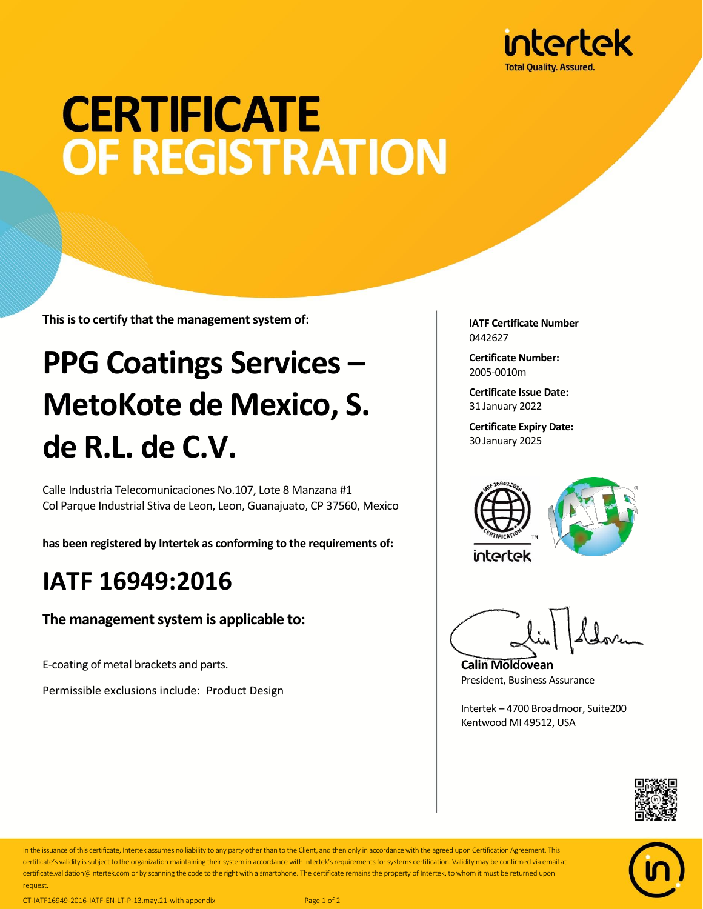

# **CERTIFICATE OF REGISTRATION**

**This is to certify that the management system of:**

## **PPG Coatings Services – MetoKote de Mexico, S. de R.L. de C.V.**

Calle Industria Telecomunicaciones No.107, Lote 8 Manzana #1 Col Parque Industrial Stiva de Leon, Leon, Guanajuato, CP 37560, Mexico

**has been registered by Intertek as conforming to the requirements of:**

#### **IATF 16949:2016**

**The management system is applicable to:**

E-coating of metal brackets and parts.

Permissible exclusions include: Product Design

**IATF Certificate Number** 0442627

**Certificate Number:** 2005-0010m

**Certificate Issue Date:** 31 January 2022

**Certificate Expiry Date:** 30 January 2025



**Calin Moldovean** President, Business Assurance

Intertek – 4700 Broadmoor, Suite200 Kentwood MI 49512, USA





In the issuance of this certificate, Intertek assumes no liability to any party other than to the Client, and then only in accordance with the agreed upon Certification Agreement. This certificate's validity is subject to the organization maintaining their system in accordance with Intertek's requirements for systems certification. Validity may be confirmed via email at certificate.validation@intertek.com or by scanning the code to the right with a smartphone. The certificate remains the property of Intertek, to whom it must be returned upon request.

CT-IATF16949-2016-IATF-EN-LT-P-13.may.21-with appendix Page 1 of 2